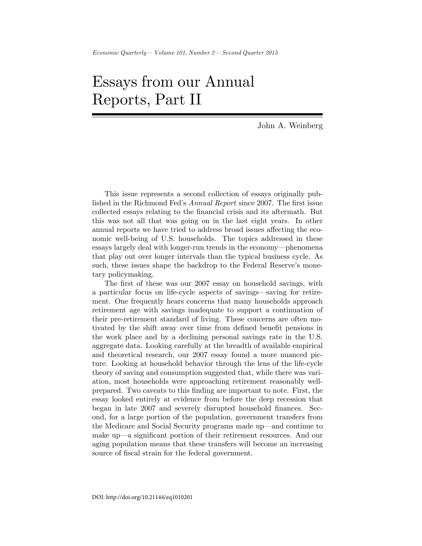## Essays from our Annual Reports, Part II

John A. Weinberg

This issue represents a second collection of essays originally published in the Richmond Fed's *Annual Report* since 2007. The first issue collected essays relating to the financial crisis and its aftermath. But this was not all that was going on in the last eight years. In other annual reports we have tried to address broad issues affecting the economic well-being of U.S. households. The topics addressed in these essays largely deal with longer-run trends in the economy—phenomena that play out over longer intervals than the typical business cycle. As such, these issues shape the backdrop to the Federal Reserve's monetary policymaking.

The first of these was our 2007 essay on household savings, with a particular focus on life-cycle aspects of savings—saving for retirement. One frequently hears concerns that many households approach retirement age with savings inadequate to support a continuation of their pre-retirement standard of living. These concerns are often motivated by the shift away over time from defined benefit pensions in the work place and by a declining personal savings rate in the U.S. aggregate data. Looking carefully at the breadth of available empirical and theoretical research, our 2007 essay found a more nuanced picture. Looking at household behavior through the lens of the life-cycle theory of saving and consumption suggested that, while there was variation, most households were approaching retirement reasonably wellprepared. Two caveats to this Önding are important to note. First, the essay looked entirely at evidence from before the deep recession that began in late 2007 and severely disrupted household finances. Second, for a large portion of the population, government transfers from the Medicare and Social Security programs made up—and continue to make up—a significant portion of their retirement resources. And our aging population means that these transfers will become an increasing source of fiscal strain for the federal government.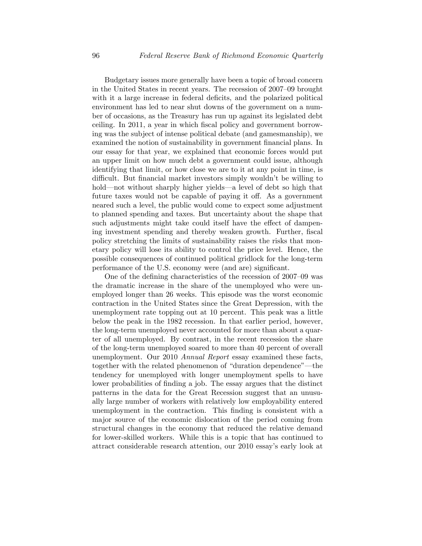Budgetary issues more generally have been a topic of broad concern in the United States in recent years. The recession of  $2007-09$  brought with it a large increase in federal deficits, and the polarized political environment has led to near shut downs of the government on a number of occasions, as the Treasury has run up against its legislated debt ceiling. In 2011, a year in which fiscal policy and government borrowing was the subject of intense political debate (and gamesmanship), we examined the notion of sustainability in government financial plans. In our essay for that year, we explained that economic forces would put an upper limit on how much debt a government could issue, although identifying that limit, or how close we are to it at any point in time, is difficult. But financial market investors simply wouldn't be willing to hold—not without sharply higher yields—a level of debt so high that future taxes would not be capable of paying it off. As a government neared such a level, the public would come to expect some adjustment to planned spending and taxes. But uncertainty about the shape that such adjustments might take could itself have the effect of dampening investment spending and thereby weaken growth. Further, fiscal policy stretching the limits of sustainability raises the risks that monetary policy will lose its ability to control the price level. Hence, the possible consequences of continued political gridlock for the long-term performance of the U.S. economy were (and are) significant.

One of the defining characteristics of the recession of  $2007-09$  was the dramatic increase in the share of the unemployed who were unemployed longer than 26 weeks. This episode was the worst economic contraction in the United States since the Great Depression, with the unemployment rate topping out at 10 percent. This peak was a little below the peak in the 1982 recession. In that earlier period, however, the long-term unemployed never accounted for more than about a quarter of all unemployed. By contrast, in the recent recession the share of the long-term unemployed soared to more than 40 percent of overall unemployment. Our 2010 Annual Report essay examined these facts, together with the related phenomenon of "duration dependence"—the tendency for unemployed with longer unemployment spells to have lower probabilities of finding a job. The essay argues that the distinct patterns in the data for the Great Recession suggest that an unusually large number of workers with relatively low employability entered unemployment in the contraction. This finding is consistent with a major source of the economic dislocation of the period coming from structural changes in the economy that reduced the relative demand for lower-skilled workers. While this is a topic that has continued to attract considerable research attention, our 2010 essay's early look at